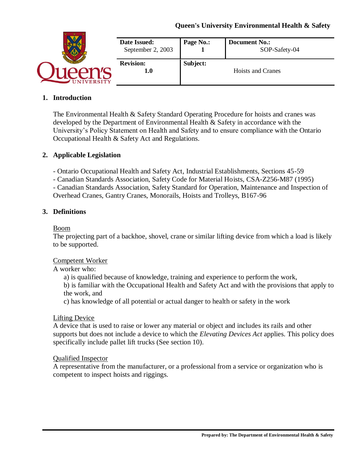|                 | Date Issued:<br>September 2, 2003 | Page No.: | <b>Document No.:</b><br>SOP-Safety-04 |
|-----------------|-----------------------------------|-----------|---------------------------------------|
|                 | <b>Revision:</b><br>1.0           | Subject:  | <b>Hoists and Cranes</b>              |
| <b>IVERSITY</b> |                                   |           |                                       |

## **1. Introduction**

The Environmental Health & Safety Standard Operating Procedure for hoists and cranes was developed by the Department of Environmental Health & Safety in accordance with the University's Policy Statement on Health and Safety and to ensure compliance with the Ontario Occupational Health & Safety Act and Regulations.

## **2. Applicable Legislation**

- Ontario Occupational Health and Safety Act, Industrial Establishments, Sections 45-59

- Canadian Standards Association, Safety Code for Material Hoists, CSA-Z256-M87 (1995)

- Canadian Standards Association, Safety Standard for Operation, Maintenance and Inspection of Overhead Cranes, Gantry Cranes, Monorails, Hoists and Trolleys, B167-96

#### **3. Definitions**

#### Boom

The projecting part of a backhoe, shovel, crane or similar lifting device from which a load is likely to be supported.

#### Competent Worker

A worker who:

a) is qualified because of knowledge, training and experience to perform the work,

b) is familiar with the Occupational Health and Safety Act and with the provisions that apply to the work, and

c) has knowledge of all potential or actual danger to health or safety in the work

#### Lifting Device

A device that is used to raise or lower any material or object and includes its rails and other supports but does not include a device to which the *Elevating Devices Act* applies. This policy does specifically include pallet lift trucks (See section 10).

#### Qualified Inspector

A representative from the manufacturer, or a professional from a service or organization who is competent to inspect hoists and riggings.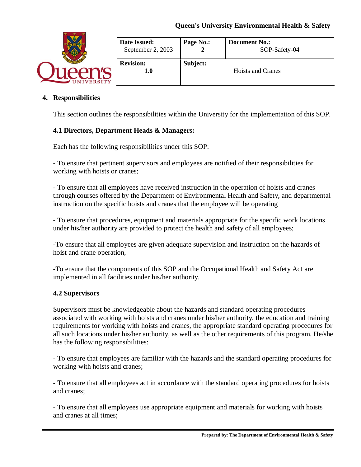| <b>JIVERSITY</b> | Date Issued:<br>September 2, 2003 | Page No.: | <b>Document No.:</b><br>SOP-Safety-04 |
|------------------|-----------------------------------|-----------|---------------------------------------|
|                  | <b>Revision:</b><br>1.0           | Subject:  | <b>Hoists and Cranes</b>              |

## **4. Responsibilities**

This section outlines the responsibilities within the University for the implementation of this SOP.

#### **4.1 Directors, Department Heads & Managers:**

Each has the following responsibilities under this SOP:

- To ensure that pertinent supervisors and employees are notified of their responsibilities for working with hoists or cranes;

- To ensure that all employees have received instruction in the operation of hoists and cranes through courses offered by the Department of Environmental Health and Safety, and departmental instruction on the specific hoists and cranes that the employee will be operating

- To ensure that procedures, equipment and materials appropriate for the specific work locations under his/her authority are provided to protect the health and safety of all employees;

-To ensure that all employees are given adequate supervision and instruction on the hazards of hoist and crane operation,

-To ensure that the components of this SOP and the Occupational Health and Safety Act are implemented in all facilities under his/her authority.

#### **4.2 Supervisors**

Supervisors must be knowledgeable about the hazards and standard operating procedures associated with working with hoists and cranes under his/her authority, the education and training requirements for working with hoists and cranes, the appropriate standard operating procedures for all such locations under his/her authority, as well as the other requirements of this program. He/she has the following responsibilities:

- To ensure that employees are familiar with the hazards and the standard operating procedures for working with hoists and cranes;

- To ensure that all employees act in accordance with the standard operating procedures for hoists and cranes;

- To ensure that all employees use appropriate equipment and materials for working with hoists and cranes at all times;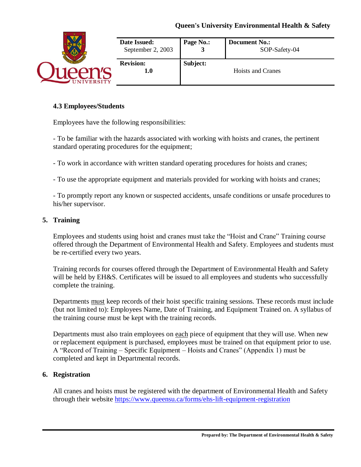| <b>IVERSITY</b> | Date Issued:<br>September 2, 2003 | Page No.: | <b>Document No.:</b><br>SOP-Safety-04 |
|-----------------|-----------------------------------|-----------|---------------------------------------|
|                 | <b>Revision:</b><br>1.0           | Subject:  | <b>Hoists and Cranes</b>              |

### **4.3 Employees/Students**

Employees have the following responsibilities:

- To be familiar with the hazards associated with working with hoists and cranes, the pertinent standard operating procedures for the equipment;

- To work in accordance with written standard operating procedures for hoists and cranes;

- To use the appropriate equipment and materials provided for working with hoists and cranes;

- To promptly report any known or suspected accidents, unsafe conditions or unsafe procedures to his/her supervisor.

## **5. Training**

Employees and students using hoist and cranes must take the "Hoist and Crane" Training course offered through the Department of Environmental Health and Safety. Employees and students must be re-certified every two years.

Training records for courses offered through the Department of Environmental Health and Safety will be held by EH&S. Certificates will be issued to all employees and students who successfully complete the training.

Departments must keep records of their hoist specific training sessions. These records must include (but not limited to): Employees Name, Date of Training, and Equipment Trained on. A syllabus of the training course must be kept with the training records.

Departments must also train employees on each piece of equipment that they will use. When new or replacement equipment is purchased, employees must be trained on that equipment prior to use. A "Record of Training – Specific Equipment – Hoists and Cranes" (Appendix 1) must be completed and kept in Departmental records.

# **6. Registration**

All cranes and hoists must be registered with the department of Environmental Health and Safety through their website<https://www.queensu.ca/forms/ehs-lift-equipment-registration>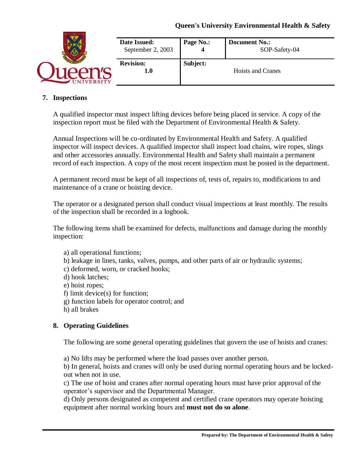| <b>IVERSITY</b> | Date Issued:<br>September 2, 2003 | Page No.: | <b>Document No.:</b><br>SOP-Safety-04 |
|-----------------|-----------------------------------|-----------|---------------------------------------|
|                 | <b>Revision:</b><br>1.0           | Subject:  | <b>Hoists and Cranes</b>              |

## **7. Inspections**

A qualified inspector must inspect lifting devices before being placed in service. A copy of the inspection report must be filed with the Department of Environmental Health & Safety.

Annual Inspections will be co-ordinated by Environmental Health and Safety. A qualified inspector will inspect devices. A qualified inspector shall inspect load chains, wire ropes, slings and other accessories annually. Environmental Health and Safety shall maintain a permanent record of each inspection. A copy of the most recent inspection must be posted in the department.

A permanent record must be kept of all inspections of, tests of, repairs to, modifications to and maintenance of a crane or hoisting device.

The operator or a designated person shall conduct visual inspections at least monthly. The results of the inspection shall be recorded in a logbook.

The following items shall be examined for defects, malfunctions and damage during the monthly inspection:

- a) all operational functions;
- b) leakage in lines, tanks, valves, pumps, and other parts of air or hydraulic systems;
- c) deformed, worn, or cracked hooks;
- d) hook latches;
- e) hoist ropes;
- f) limit device(s) for function;
- g) function labels for operator control; and
- h) all brakes

# **8. Operating Guidelines**

The following are some general operating guidelines that govern the use of hoists and cranes:

a) No lifts may be performed where the load passes over another person.

b) In general, hoists and cranes will only be used during normal operating hours and be lockedout when not in use.

c) The use of hoist and cranes after normal operating hours must have prior approval of the operator's supervisor and the Departmental Manager.

d) Only persons designated as competent and certified crane operators may operate hoisting equipment after normal working hours and **must not do so alone**.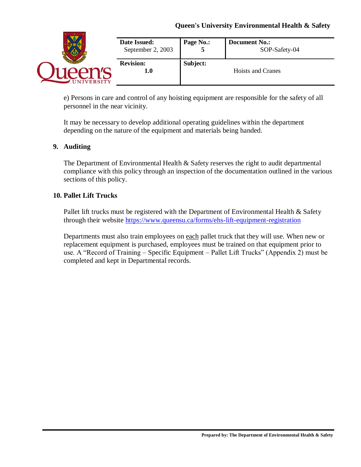| <b>IVERSITY</b> | Date Issued:<br>September 2, 2003 | Page No.: | <b>Document No.:</b><br>SOP-Safety-04 |
|-----------------|-----------------------------------|-----------|---------------------------------------|
|                 | <b>Revision:</b><br>1.0           | Subject:  | Hoists and Cranes                     |

e) Persons in care and control of any hoisting equipment are responsible for the safety of all personnel in the near vicinity.

It may be necessary to develop additional operating guidelines within the department depending on the nature of the equipment and materials being handed.

# **9. Auditing**

The Department of Environmental Health & Safety reserves the right to audit departmental compliance with this policy through an inspection of the documentation outlined in the various sections of this policy.

## **10. Pallet Lift Trucks**

Pallet lift trucks must be registered with the Department of Environmental Health & Safety through their website<https://www.queensu.ca/forms/ehs-lift-equipment-registration>

Departments must also train employees on each pallet truck that they will use. When new or replacement equipment is purchased, employees must be trained on that equipment prior to use. A "Record of Training – Specific Equipment – Pallet Lift Trucks" (Appendix 2) must be completed and kept in Departmental records.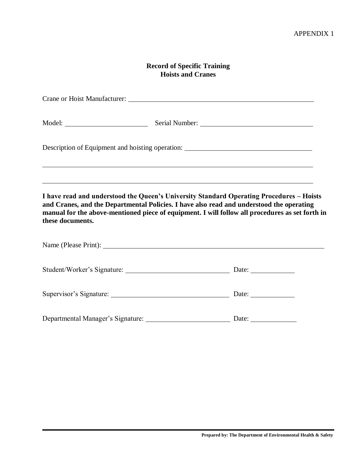## **Record of Specific Training Hoists and Cranes**

|                  | Description of Equipment and hoisting operation: ________________________________                                                                                                                                                                                                       |
|------------------|-----------------------------------------------------------------------------------------------------------------------------------------------------------------------------------------------------------------------------------------------------------------------------------------|
|                  | <u> 1989 - Johann Stoff, deutscher Stoffen und der Stoffen und der Stoffen und der Stoffen und der Stoffen und de</u><br>,我们也不会有什么。""我们的人,我们也不会有什么?""我们的人,我们也不会有什么?""我们的人,我们也不会有什么?""我们的人,我们也不会有什么?""我们的人                                                                               |
| these documents. | I have read and understood the Queen's University Standard Operating Procedures - Hoists<br>and Cranes, and the Departmental Policies. I have also read and understood the operating<br>manual for the above-mentioned piece of equipment. I will follow all procedures as set forth in |
|                  |                                                                                                                                                                                                                                                                                         |
|                  |                                                                                                                                                                                                                                                                                         |
|                  |                                                                                                                                                                                                                                                                                         |
|                  | Date: $\_\_$                                                                                                                                                                                                                                                                            |